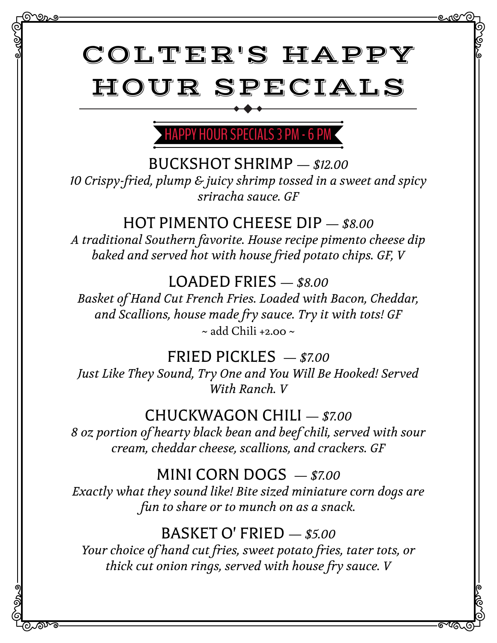# COLTER'S HAPPY HOUR SPECIALS

<u> ಉತಿ</u>

಄ಗ್

# PPY HOUR SPECIALS 3 PM - 6 P

BUCKSHOT SHRIMP *— \$12.00*

*10 Crispy-fried, plump & juicy shrimp tossed in a sweet and spicy sriracha sauce. GF*

# HOT PIMENTO CHEESE DIP *— \$8.00*

*A traditional Southern favorite. House recipe pimento cheese dip baked and served hot with house fried potato chips. GF, V*

# LOADED FRIES *— \$8.00*

*Basket of Hand Cut French Fries. Loaded with Bacon, Cheddar, and Scallions, house made fry sauce. Try it with tots! GF*  $\sim$  add Chili +2.00  $\sim$ 

# FRIED PICKLES *— \$7.00*

*Just Like They Sound, Try One and You Will Be Hooked! Served With Ranch. V*

#### CHUCKWAGON CHILI *— \$7.00*

*8 oz portion of hearty black bean and beef chili, served with sour cream, cheddar cheese, scallions, and crackers. GF*

#### MINI CORN DOGS *— \$7.00*

*Exactly what they sound like! Bite sized miniature corn dogs are fun to share or to munch on as a snack.*

#### BASKET O' FRIED *— \$5.00*

*Your choice of hand cut fries, sweet potato fries, tater tots, or thick cut onion rings, served with house fry sauce. V*